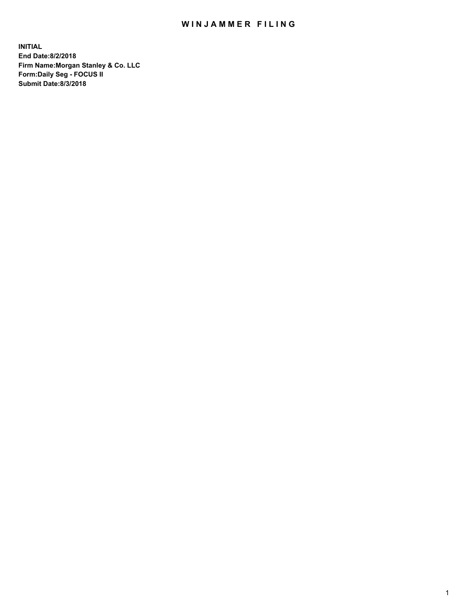## WIN JAMMER FILING

**INITIAL End Date:8/2/2018 Firm Name:Morgan Stanley & Co. LLC Form:Daily Seg - FOCUS II Submit Date:8/3/2018**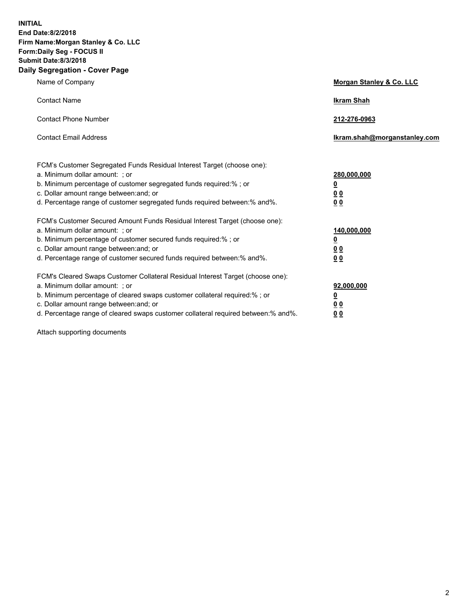**INITIAL End Date:8/2/2018 Firm Name:Morgan Stanley & Co. LLC Form:Daily Seg - FOCUS II Submit Date:8/3/2018 Daily Segregation - Cover Page**

| Name of Company                                                                                                                                                                                                                                                                                                                | <b>Morgan Stanley &amp; Co. LLC</b>                                          |
|--------------------------------------------------------------------------------------------------------------------------------------------------------------------------------------------------------------------------------------------------------------------------------------------------------------------------------|------------------------------------------------------------------------------|
| <b>Contact Name</b>                                                                                                                                                                                                                                                                                                            | <b>Ikram Shah</b>                                                            |
| <b>Contact Phone Number</b>                                                                                                                                                                                                                                                                                                    | 212-276-0963                                                                 |
| <b>Contact Email Address</b>                                                                                                                                                                                                                                                                                                   | Ikram.shah@morganstanley.com                                                 |
| FCM's Customer Segregated Funds Residual Interest Target (choose one):<br>a. Minimum dollar amount: ; or<br>b. Minimum percentage of customer segregated funds required:% ; or<br>c. Dollar amount range between: and; or<br>d. Percentage range of customer segregated funds required between:% and%.                         | 280,000,000<br><u>0</u><br>00<br><u>00</u>                                   |
| FCM's Customer Secured Amount Funds Residual Interest Target (choose one):<br>a. Minimum dollar amount: ; or<br>b. Minimum percentage of customer secured funds required:%; or<br>c. Dollar amount range between: and; or<br>d. Percentage range of customer secured funds required between:% and%.                            | 140,000,000<br><u>0</u><br>$\underline{0}$ $\underline{0}$<br>0 <sub>0</sub> |
| FCM's Cleared Swaps Customer Collateral Residual Interest Target (choose one):<br>a. Minimum dollar amount: ; or<br>b. Minimum percentage of cleared swaps customer collateral required:% ; or<br>c. Dollar amount range between: and; or<br>d. Percentage range of cleared swaps customer collateral required between:% and%. | 92,000,000<br><u>0</u><br><u>00</u><br>00                                    |

Attach supporting documents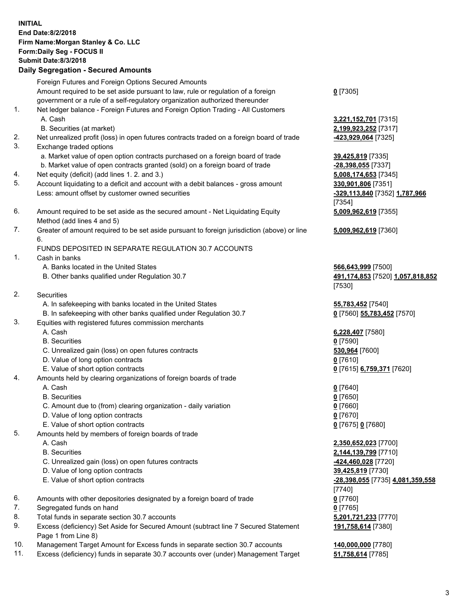|          | <b>INITIAL</b><br>End Date: 8/2/2018<br>Firm Name: Morgan Stanley & Co. LLC<br>Form: Daily Seg - FOCUS II<br><b>Submit Date:8/3/2018</b><br><b>Daily Segregation - Secured Amounts</b> |                                                 |
|----------|----------------------------------------------------------------------------------------------------------------------------------------------------------------------------------------|-------------------------------------------------|
|          | Foreign Futures and Foreign Options Secured Amounts                                                                                                                                    |                                                 |
|          | Amount required to be set aside pursuant to law, rule or regulation of a foreign<br>government or a rule of a self-regulatory organization authorized thereunder                       | $0$ [7305]                                      |
| 1.       | Net ledger balance - Foreign Futures and Foreign Option Trading - All Customers                                                                                                        |                                                 |
|          | A. Cash                                                                                                                                                                                | 3,221,152,701 [7315]                            |
|          | B. Securities (at market)                                                                                                                                                              | 2,199,923,252 [7317]                            |
| 2.       | Net unrealized profit (loss) in open futures contracts traded on a foreign board of trade                                                                                              | -423,929,064 [7325]                             |
| 3.       | Exchange traded options                                                                                                                                                                |                                                 |
|          | a. Market value of open option contracts purchased on a foreign board of trade                                                                                                         | 39,425,819 [7335]                               |
| 4.       | b. Market value of open contracts granted (sold) on a foreign board of trade<br>Net equity (deficit) (add lines 1. 2. and 3.)                                                          | -28,398,055 [7337]<br>5,008,174,653 [7345]      |
| 5.       | Account liquidating to a deficit and account with a debit balances - gross amount                                                                                                      | 330,901,806 [7351]                              |
|          | Less: amount offset by customer owned securities                                                                                                                                       | -329,113,840 [7352] 1,787,966                   |
|          |                                                                                                                                                                                        | [7354]                                          |
| 6.       | Amount required to be set aside as the secured amount - Net Liquidating Equity                                                                                                         | 5,009,962,619 [7355]                            |
|          | Method (add lines 4 and 5)                                                                                                                                                             |                                                 |
| 7.       | Greater of amount required to be set aside pursuant to foreign jurisdiction (above) or line                                                                                            | 5,009,962,619 [7360]                            |
|          | 6.<br>FUNDS DEPOSITED IN SEPARATE REGULATION 30.7 ACCOUNTS                                                                                                                             |                                                 |
| 1.       | Cash in banks                                                                                                                                                                          |                                                 |
|          | A. Banks located in the United States                                                                                                                                                  | 566,643,999 [7500]                              |
|          | B. Other banks qualified under Regulation 30.7                                                                                                                                         | 491,174,853 [7520] 1,057,818,852                |
|          |                                                                                                                                                                                        | [7530]                                          |
| 2.       | Securities<br>A. In safekeeping with banks located in the United States                                                                                                                |                                                 |
|          | B. In safekeeping with other banks qualified under Regulation 30.7                                                                                                                     | 55,783,452 [7540]<br>0 [7560] 55,783,452 [7570] |
| 3.       | Equities with registered futures commission merchants                                                                                                                                  |                                                 |
|          | A. Cash                                                                                                                                                                                | 6,228,407 [7580]                                |
|          | <b>B.</b> Securities                                                                                                                                                                   | $0$ [7590]                                      |
|          | C. Unrealized gain (loss) on open futures contracts                                                                                                                                    | 530,964 [7600]                                  |
|          | D. Value of long option contracts                                                                                                                                                      | $0$ [7610]                                      |
| 4.       | E. Value of short option contracts<br>Amounts held by clearing organizations of foreign boards of trade                                                                                | 0 [7615] 6,759,371 [7620]                       |
|          | A. Cash                                                                                                                                                                                | $0$ [7640]                                      |
|          | <b>B.</b> Securities                                                                                                                                                                   | $0$ [7650]                                      |
|          | C. Amount due to (from) clearing organization - daily variation                                                                                                                        | $0$ [7660]                                      |
|          | D. Value of long option contracts                                                                                                                                                      | $0$ [7670]                                      |
|          | E. Value of short option contracts                                                                                                                                                     | 0 [7675] 0 [7680]                               |
| 5.       | Amounts held by members of foreign boards of trade<br>A. Cash                                                                                                                          | 2,350,652,023 [7700]                            |
|          | <b>B.</b> Securities                                                                                                                                                                   | 2,144,139,799 [7710]                            |
|          | C. Unrealized gain (loss) on open futures contracts                                                                                                                                    | -424,460,028 [7720]                             |
|          | D. Value of long option contracts                                                                                                                                                      | 39,425,819 [7730]                               |
|          | E. Value of short option contracts                                                                                                                                                     | -28,398,055 [7735] 4,081,359,558                |
|          |                                                                                                                                                                                        | [7740]                                          |
| 6.       | Amounts with other depositories designated by a foreign board of trade                                                                                                                 | $0$ [7760]                                      |
| 7.<br>8. | Segregated funds on hand<br>Total funds in separate section 30.7 accounts                                                                                                              | $0$ [7765]<br>5,201,721,233 [7770]              |
| 9.       | Excess (deficiency) Set Aside for Secured Amount (subtract line 7 Secured Statement                                                                                                    | 191,758,614 [7380]                              |
|          | Page 1 from Line 8)                                                                                                                                                                    |                                                 |
| 10.      | Management Target Amount for Excess funds in separate section 30.7 accounts                                                                                                            | 140,000,000 [7780]                              |

11. Excess (deficiency) funds in separate 30.7 accounts over (under) Management Target **51,758,614** [7785]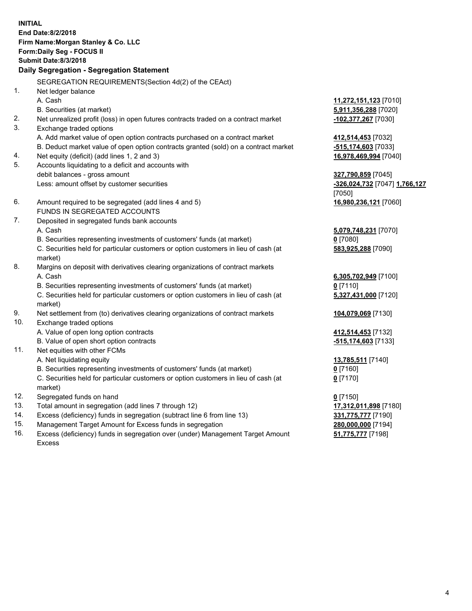**INITIAL End Date:8/2/2018 Firm Name:Morgan Stanley & Co. LLC Form:Daily Seg - FOCUS II Submit Date:8/3/2018 Daily Segregation - Segregation Statement** SEGREGATION REQUIREMENTS(Section 4d(2) of the CEAct) 1. Net ledger balance A. Cash **11,272,151,123** [7010] B. Securities (at market) **5,911,356,288** [7020] 2. Net unrealized profit (loss) in open futures contracts traded on a contract market **-102,377,267** [7030] 3. Exchange traded options A. Add market value of open option contracts purchased on a contract market **412,514,453** [7032] B. Deduct market value of open option contracts granted (sold) on a contract market **-515,174,603** [7033] 4. Net equity (deficit) (add lines 1, 2 and 3) **16,978,469,994** [7040] 5. Accounts liquidating to a deficit and accounts with debit balances - gross amount **327,790,859** [7045] Less: amount offset by customer securities **-326,024,732** [7047] **1,766,127** [7050] 6. Amount required to be segregated (add lines 4 and 5) **16,980,236,121** [7060] FUNDS IN SEGREGATED ACCOUNTS 7. Deposited in segregated funds bank accounts A. Cash **5,079,748,231** [7070] B. Securities representing investments of customers' funds (at market) **0** [7080] C. Securities held for particular customers or option customers in lieu of cash (at market) **583,925,288** [7090] 8. Margins on deposit with derivatives clearing organizations of contract markets A. Cash **6,305,702,949** [7100] B. Securities representing investments of customers' funds (at market) **0** [7110] C. Securities held for particular customers or option customers in lieu of cash (at market) **5,327,431,000** [7120] 9. Net settlement from (to) derivatives clearing organizations of contract markets **104,079,069** [7130] 10. Exchange traded options A. Value of open long option contracts **412,514,453** [7132] B. Value of open short option contracts **-515,174,603** [7133] 11. Net equities with other FCMs A. Net liquidating equity **13,785,511** [7140] B. Securities representing investments of customers' funds (at market) **0** [7160] C. Securities held for particular customers or option customers in lieu of cash (at market) **0** [7170] 12. Segregated funds on hand **0** [7150] 13. Total amount in segregation (add lines 7 through 12) **17,312,011,898** [7180] 14. Excess (deficiency) funds in segregation (subtract line 6 from line 13) **331,775,777** [7190] 15. Management Target Amount for Excess funds in segregation **280,000,000** [7194]

16. Excess (deficiency) funds in segregation over (under) Management Target Amount Excess

**51,775,777** [7198]